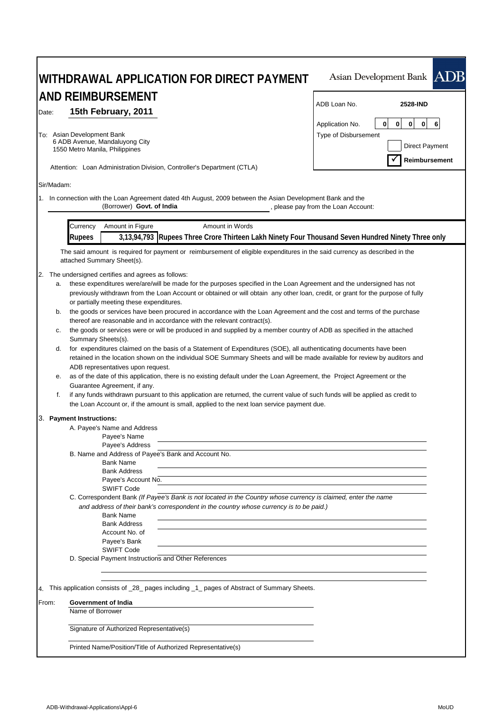|                                                                                                                                                                                                                                                                                                                                                                                                                                                                                                                                                                                                                                                                                                                                                                                                                                                                                                                                                                                                                                                                                                                                                                                                                                                                                                                                          | Asian Development Bank ADB                                                                                                                 |  |  |  |
|------------------------------------------------------------------------------------------------------------------------------------------------------------------------------------------------------------------------------------------------------------------------------------------------------------------------------------------------------------------------------------------------------------------------------------------------------------------------------------------------------------------------------------------------------------------------------------------------------------------------------------------------------------------------------------------------------------------------------------------------------------------------------------------------------------------------------------------------------------------------------------------------------------------------------------------------------------------------------------------------------------------------------------------------------------------------------------------------------------------------------------------------------------------------------------------------------------------------------------------------------------------------------------------------------------------------------------------|--------------------------------------------------------------------------------------------------------------------------------------------|--|--|--|
| AND REIMBURSEMENT<br>15th February, 2011<br>Date:                                                                                                                                                                                                                                                                                                                                                                                                                                                                                                                                                                                                                                                                                                                                                                                                                                                                                                                                                                                                                                                                                                                                                                                                                                                                                        | ADB Loan No.<br>2528-IND                                                                                                                   |  |  |  |
| To: Asian Development Bank<br>6 ADB Avenue, Mandaluyong City<br>1550 Metro Manila, Philippines                                                                                                                                                                                                                                                                                                                                                                                                                                                                                                                                                                                                                                                                                                                                                                                                                                                                                                                                                                                                                                                                                                                                                                                                                                           | $\mathbf 0$<br>$\mathbf{0}$<br>6<br>0<br>$\mathbf{0}$<br>Application No.<br>Type of Disbursement<br><b>Direct Payment</b><br>Reimbursement |  |  |  |
| Attention: Loan Administration Division, Controller's Department (CTLA)                                                                                                                                                                                                                                                                                                                                                                                                                                                                                                                                                                                                                                                                                                                                                                                                                                                                                                                                                                                                                                                                                                                                                                                                                                                                  |                                                                                                                                            |  |  |  |
| Sir/Madam:<br>1. In connection with the Loan Agreement dated 4th August, 2009 between the Asian Development Bank and the<br>(Borrower) Govt. of India                                                                                                                                                                                                                                                                                                                                                                                                                                                                                                                                                                                                                                                                                                                                                                                                                                                                                                                                                                                                                                                                                                                                                                                    | , please pay from the Loan Account:                                                                                                        |  |  |  |
| Amount in Figure<br>Amount in Words<br>Currency                                                                                                                                                                                                                                                                                                                                                                                                                                                                                                                                                                                                                                                                                                                                                                                                                                                                                                                                                                                                                                                                                                                                                                                                                                                                                          |                                                                                                                                            |  |  |  |
| 3,13,94,793 Rupees Three Crore Thirteen Lakh Ninety Four Thousand Seven Hundred Ninety Three only<br><b>Rupees</b><br>The said amount is required for payment or reimbursement of eligible expenditures in the said currency as described in the<br>attached Summary Sheet(s).                                                                                                                                                                                                                                                                                                                                                                                                                                                                                                                                                                                                                                                                                                                                                                                                                                                                                                                                                                                                                                                           |                                                                                                                                            |  |  |  |
| 2. The undersigned certifies and agrees as follows:<br>these expenditures were/are/will be made for the purposes specified in the Loan Agreement and the undersigned has not<br>a.<br>previously withdrawn from the Loan Account or obtained or will obtain any other loan, credit, or grant for the purpose of fully<br>or partially meeting these expenditures.<br>the goods or services have been procured in accordance with the Loan Agreement and the cost and terms of the purchase<br>b.<br>thereof are reasonable and in accordance with the relevant contract(s).<br>the goods or services were or will be produced in and supplied by a member country of ADB as specified in the attached<br>c.<br>Summary Sheets(s).<br>for expenditures claimed on the basis of a Statement of Expenditures (SOE), all authenticating documents have been<br>d.<br>retained in the location shown on the individual SOE Summary Sheets and will be made available for review by auditors and<br>ADB representatives upon request.<br>as of the date of this application, there is no existing default under the Loan Agreement, the Project Agreement or the<br>е.<br>Guarantee Agreement, if any.<br>f.<br>if any funds withdrawn pursuant to this application are returned, the current value of such funds will be applied as credit to |                                                                                                                                            |  |  |  |
| the Loan Account or, if the amount is small, applied to the next loan service payment due.<br>3. Payment Instructions:<br>A. Payee's Name and Address<br>Payee's Name<br>Payee's Address<br>B. Name and Address of Payee's Bank and Account No.<br><b>Bank Name</b><br><b>Bank Address</b><br>Payee's Account No.<br><b>SWIFT Code</b><br>C. Correspondent Bank (If Payee's Bank is not located in the Country whose currency is claimed, enter the name<br>and address of their bank's correspondent in the country whose currency is to be paid.)<br><b>Bank Name</b><br><b>Bank Address</b><br>Account No. of<br>Payee's Bank<br><b>SWIFT Code</b><br>D. Special Payment Instructions and Other References                                                                                                                                                                                                                                                                                                                                                                                                                                                                                                                                                                                                                            |                                                                                                                                            |  |  |  |
| 4. This application consists of _28_ pages including _1_ pages of Abstract of Summary Sheets.                                                                                                                                                                                                                                                                                                                                                                                                                                                                                                                                                                                                                                                                                                                                                                                                                                                                                                                                                                                                                                                                                                                                                                                                                                            |                                                                                                                                            |  |  |  |
| Government of India<br>From:<br>Name of Borrower                                                                                                                                                                                                                                                                                                                                                                                                                                                                                                                                                                                                                                                                                                                                                                                                                                                                                                                                                                                                                                                                                                                                                                                                                                                                                         |                                                                                                                                            |  |  |  |
|                                                                                                                                                                                                                                                                                                                                                                                                                                                                                                                                                                                                                                                                                                                                                                                                                                                                                                                                                                                                                                                                                                                                                                                                                                                                                                                                          |                                                                                                                                            |  |  |  |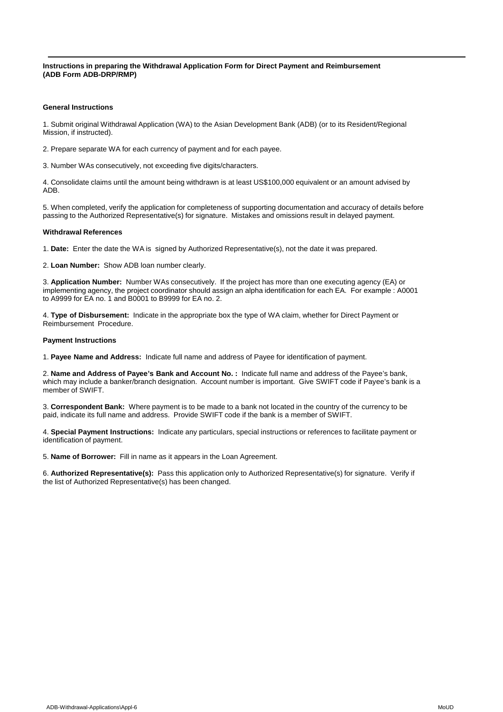**Instructions in preparing the Withdrawal Application Form for Direct Payment and Reimbursement (ADB Form ADB-DRP/RMP)**

## **General Instructions**

1. Submit original Withdrawal Application (WA) to the Asian Development Bank (ADB) (or to its Resident/Regional Mission, if instructed).

2. Prepare separate WA for each currency of payment and for each payee.

3. Number WAs consecutively, not exceeding five digits/characters.

4. Consolidate claims until the amount being withdrawn is at least US\$100,000 equivalent or an amount advised by ADB.

5. When completed, verify the application for completeness of supporting documentation and accuracy of details before passing to the Authorized Representative(s) for signature. Mistakes and omissions result in delayed payment.

## **Withdrawal References**

1. **Date:** Enter the date the WA is signed by Authorized Representative(s), not the date it was prepared.

2. **Loan Number:** Show ADB loan number clearly.

3. **Application Number:** Number WAs consecutively. If the project has more than one executing agency (EA) or implementing agency, the project coordinator should assign an alpha identification for each EA. For example : A0001 to A9999 for EA no. 1 and B0001 to B9999 for EA no. 2.

4. **Type of Disbursement:** Indicate in the appropriate box the type of WA claim, whether for Direct Payment or Reimbursement Procedure.

## **Payment Instructions**

1. **Payee Name and Address:** Indicate full name and address of Payee for identification of payment.

2. **Name and Address of Payee's Bank and Account No. :** Indicate full name and address of the Payee's bank, which may include a banker/branch designation. Account number is important. Give SWIFT code if Payee's bank is a member of SWIFT.

3. **Correspondent Bank:** Where payment is to be made to a bank not located in the country of the currency to be paid, indicate its full name and address. Provide SWIFT code if the bank is a member of SWIFT.

4. **Special Payment Instructions:** Indicate any particulars, special instructions or references to facilitate payment or identification of payment.

5. **Name of Borrower:** Fill in name as it appears in the Loan Agreement.

6. **Authorized Representative(s):** Pass this application only to Authorized Representative(s) for signature. Verify if the list of Authorized Representative(s) has been changed.